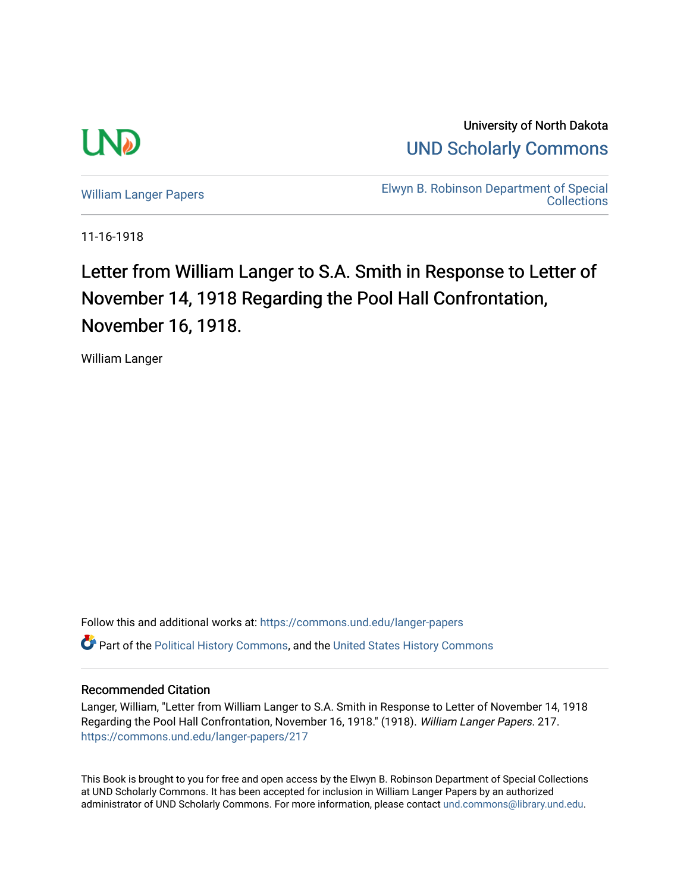

University of North Dakota [UND Scholarly Commons](https://commons.und.edu/) 

[William Langer Papers](https://commons.und.edu/langer-papers) **Elwyn B. Robinson Department of Special** [Collections](https://commons.und.edu/archives) 

11-16-1918

## Letter from William Langer to S.A. Smith in Response to Letter of November 14, 1918 Regarding the Pool Hall Confrontation, November 16, 1918.

William Langer

Follow this and additional works at: [https://commons.und.edu/langer-papers](https://commons.und.edu/langer-papers?utm_source=commons.und.edu%2Flanger-papers%2F217&utm_medium=PDF&utm_campaign=PDFCoverPages)  **C** Part of the [Political History Commons,](http://network.bepress.com/hgg/discipline/505?utm_source=commons.und.edu%2Flanger-papers%2F217&utm_medium=PDF&utm_campaign=PDFCoverPages) and the [United States History Commons](http://network.bepress.com/hgg/discipline/495?utm_source=commons.und.edu%2Flanger-papers%2F217&utm_medium=PDF&utm_campaign=PDFCoverPages)

## Recommended Citation

Langer, William, "Letter from William Langer to S.A. Smith in Response to Letter of November 14, 1918 Regarding the Pool Hall Confrontation, November 16, 1918." (1918). William Langer Papers. 217. [https://commons.und.edu/langer-papers/217](https://commons.und.edu/langer-papers/217?utm_source=commons.und.edu%2Flanger-papers%2F217&utm_medium=PDF&utm_campaign=PDFCoverPages) 

This Book is brought to you for free and open access by the Elwyn B. Robinson Department of Special Collections at UND Scholarly Commons. It has been accepted for inclusion in William Langer Papers by an authorized administrator of UND Scholarly Commons. For more information, please contact [und.commons@library.und.edu.](mailto:und.commons@library.und.edu)